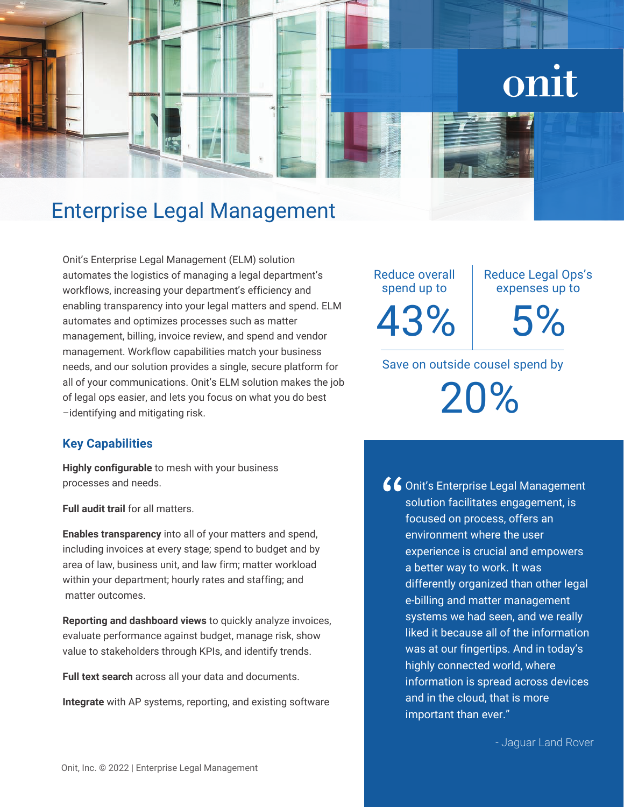# onit

## Enterprise Legal Management

Onit's Enterprise Legal Management (ELM) solution automates the logistics of managing a legal department's workflows, increasing your department's efficiency and enabling transparency into your legal matters and spend. ELM automates and optimizes processes such as matter management, billing, invoice review, and spend and vendor management. Workflow capabilities match your business needs, and our solution provides a single, secure platform for all of your communications. Onit's ELM solution makes the job of legal ops easier, and lets you focus on what you do best –identifying and mitigating risk.

## **Key Capabilities**

**Highly configurable** to mesh with your business processes and needs.

**Full audit trail** for all matters.

**Enables transparency** into all of your matters and spend, including invoices at every stage; spend to budget and by area of law, business unit, and law firm; matter workload within your department; hourly rates and staffing; and matter outcomes.

**Reporting and dashboard views** to quickly analyze invoices, evaluate performance against budget, manage risk, show value to stakeholders through KPIs, and identify trends.

**Full text search** across all your data and documents.

**Integrate** with AP systems, reporting, and existing software

Reduce overall spend up to 43% Reduce Legal Ops's expenses up to

5%

Save on outside cousel spend by

20%

66 Onit's Enterprise Legal Management solution facilitates engagement, is focused on process, offers an environment where the user experience is crucial and empowers a better way to work. It was differently organized than other legal e-billing and matter management systems we had seen, and we really liked it because all of the information was at our fingertips. And in today's highly connected world, where information is spread across devices and in the cloud, that is more important than ever."

- Jaguar Land Rover